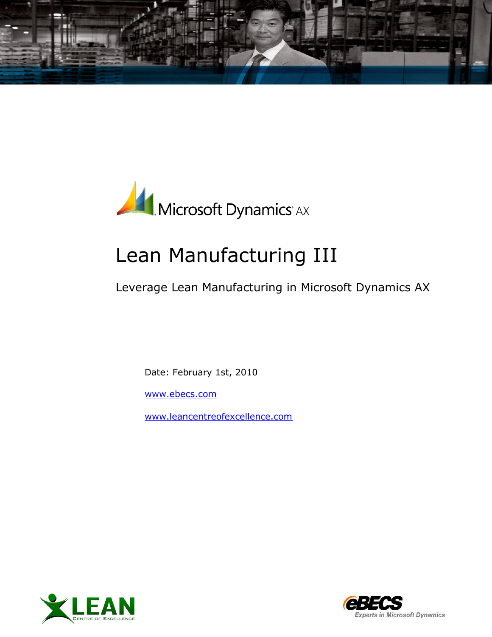



# Lean Manufacturing III

Leverage Lean Manufacturing in Microsoft Dynamics AX

Date: February 1st, 2010

[www.ebecs.com](http://www.ebecs.com/)

[www.leancentreofexcellence.com](http://www.leancentreofexcellence.com/)



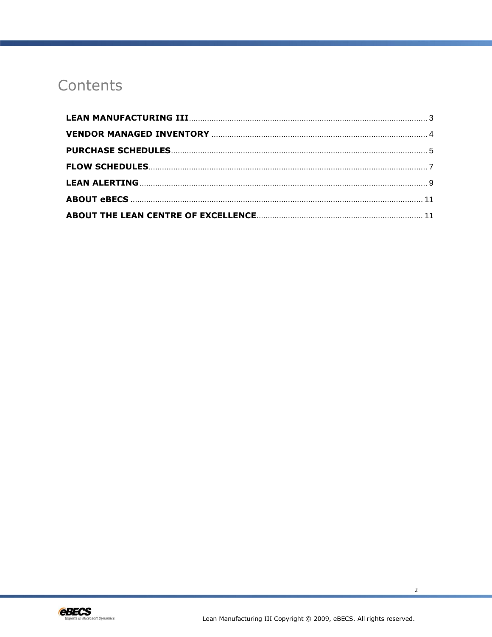# Contents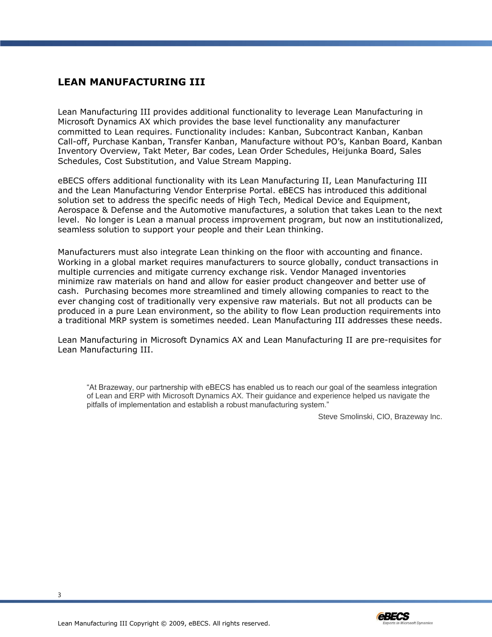#### <span id="page-2-0"></span>**LEAN MANUFACTURING III**

Lean Manufacturing III provides additional functionality to leverage Lean Manufacturing in Microsoft Dynamics AX which provides the base level functionality any manufacturer committed to Lean requires. Functionality includes: Kanban, Subcontract Kanban, Kanban Call-off, Purchase Kanban, Transfer Kanban, Manufacture without PO's, Kanban Board, Kanban Inventory Overview, Takt Meter, Bar codes, Lean Order Schedules, Heijunka Board, Sales Schedules, Cost Substitution, and Value Stream Mapping.

eBECS offers additional functionality with its Lean Manufacturing II, Lean Manufacturing III and the Lean Manufacturing Vendor Enterprise Portal. eBECS has introduced this additional solution set to address the specific needs of High Tech, Medical Device and Equipment, Aerospace & Defense and the Automotive manufactures, a solution that takes Lean to the next level. No longer is Lean a manual process improvement program, but now an institutionalized, seamless solution to support your people and their Lean thinking.

Manufacturers must also integrate Lean thinking on the floor with accounting and finance. Working in a global market requires manufacturers to source globally, conduct transactions in multiple currencies and mitigate currency exchange risk. Vendor Managed inventories minimize raw materials on hand and allow for easier product changeover and better use of cash. Purchasing becomes more streamlined and timely allowing companies to react to the ever changing cost of traditionally very expensive raw materials. But not all products can be produced in a pure Lean environment, so the ability to flow Lean production requirements into a traditional MRP system is sometimes needed. Lean Manufacturing III addresses these needs.

Lean Manufacturing in Microsoft Dynamics AX and Lean Manufacturing II are pre-requisites for Lean Manufacturing III.

"At Brazeway, our partnership with eBECS has enabled us to reach our goal of the seamless integration of Lean and ERP with Microsoft Dynamics AX. Their guidance and experience helped us navigate the pitfalls of implementation and establish a robust manufacturing system."

Steve Smolinski, CIO, Brazeway Inc.

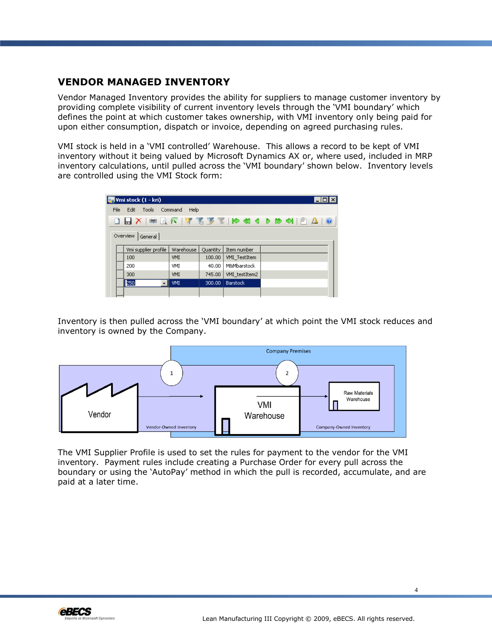#### <span id="page-3-0"></span>**VENDOR MANAGED INVENTORY**

Vendor Managed Inventory provides the ability for suppliers to manage customer inventory by providing complete visibility of current inventory levels through the 'VMI boundary' which defines the point at which customer takes ownership, with VMI inventory only being paid for upon either consumption, dispatch or invoice, depending on agreed purchasing rules.

VMI stock is held in a 'VMI controlled' Warehouse. This allows a record to be kept of VMI inventory without it being valued by Microsoft Dynamics AX or, where used, included in MRP inventory calculations, until pulled across the 'VMI boundary' shown below. Inventory levels are controlled using the VMI Stock form:

| <b>M</b> Vmi stock (1 - kri)                                           |                      |            |          |                 |  |  |  |  |  |  |  |
|------------------------------------------------------------------------|----------------------|------------|----------|-----------------|--|--|--|--|--|--|--|
| Edit<br>Tools Command<br>File<br>Help                                  |                      |            |          |                 |  |  |  |  |  |  |  |
| <b>DBX ● Q &amp;   7 です   10 41 4 D to + 1   0 A</b><br>$\circledcirc$ |                      |            |          |                 |  |  |  |  |  |  |  |
| Overview   General                                                     |                      |            |          |                 |  |  |  |  |  |  |  |
|                                                                        | Vmi supplier profile | Warehouse  | Quantity | Item number     |  |  |  |  |  |  |  |
|                                                                        | 100                  | VMI        | 100.00   | VMI_TestItem    |  |  |  |  |  |  |  |
| 200                                                                    |                      | VMI        | 40.00    | M&Mbarstock     |  |  |  |  |  |  |  |
|                                                                        | 300                  | VMI        | 745,00   | VMI testItem2   |  |  |  |  |  |  |  |
|                                                                        | <br>250              | <b>VMI</b> | 300,00   | <b>Barstock</b> |  |  |  |  |  |  |  |
|                                                                        |                      |            |          |                 |  |  |  |  |  |  |  |

Inventory is then pulled across the 'VMI boundary' at which point the VMI stock reduces and inventory is owned by the Company.



The VMI Supplier Profile is used to set the rules for payment to the vendor for the VMI inventory. Payment rules include creating a Purchase Order for every pull across the boundary or using the 'AutoPay' method in which the pull is recorded, accumulate, and are paid at a later time.

4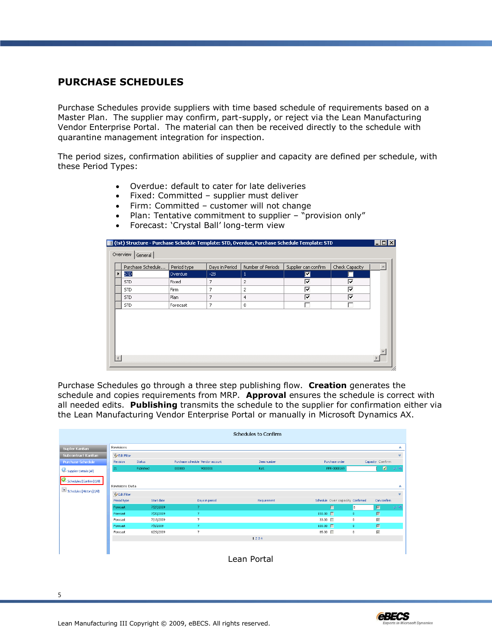#### <span id="page-4-0"></span>**PURCHASE SCHEDULES**

Purchase Schedules provide suppliers with time based schedule of requirements based on a Master Plan. The supplier may confirm, part-supply, or reject via the Lean Manufacturing Vendor Enterprise Portal. The material can then be received directly to the schedule with quarantine management integration for inspection.

The period sizes, confirmation abilities of supplier and capacity are defined per schedule, with these Period Types:

- Overdue: default to cater for late deliveries
- Fixed: Committed supplier must deliver
- Firm: Committed customer will not change
- Plan: Tentative commitment to supplier "provision only"
- Forecast: 'Crystal Ball' long-term view

| Overdue | $-28$                             | 1              | ◪ |   |  |
|---------|-----------------------------------|----------------|---|---|--|
|         | 7                                 | 2              | ⊽ | ⊽ |  |
|         | 7                                 | $\overline{c}$ | ⊽ | ⊽ |  |
|         | 7                                 | $\overline{4}$ | ⊽ | ⊽ |  |
|         | 7                                 | 8              |   | г |  |
|         |                                   |                |   |   |  |
|         |                                   |                |   |   |  |
|         | Fixed<br>Firm<br>Plan<br>Forecast |                |   |   |  |

Purchase Schedules go through a three step publishing flow. **Creation** generates the schedule and copies requirements from MRP. **Approval** ensures the schedule is correct with all needed edits. **Publishing** transmits the schedule to the supplier for confirmation either via the Lean Manufacturing Vendor Enterprise Portal or manually in Microsoft Dynamics AX.

|                                            |                       |               |        |                                  | Schedules to Confirm |                                  |                |                            |                |
|--------------------------------------------|-----------------------|---------------|--------|----------------------------------|----------------------|----------------------------------|----------------|----------------------------|----------------|
| Suplier KanBan                             | <b>Revisions</b>      |               |        |                                  |                      |                                  |                |                            | ≪              |
| Subcontract KanBan                         | De Edit Filter        |               |        |                                  |                      |                                  |                |                            | $\mathbbmss{}$ |
| <b>Purchase Schedule</b>                   | <b>Revision</b>       | <b>Status</b> |        | Purchase schedule Vendor account | Item number          | Purchase order                   |                | Capacity Confirm           |                |
| Supplier Details (All)                     | 21                    | Published     | 000003 | V000001                          | Kalt                 | PPR-0000169                      |                | $\circledcirc$             | $\mathcal{A}$  |
| Schedules [Confirm] (All)                  |                       |               |        |                                  |                      |                                  |                |                            |                |
|                                            | <b>Revisions Data</b> |               |        |                                  |                      |                                  |                |                            | ×              |
| $\boxed{\equiv}$ Schedules [History] (All) | <b>Z</b> Edit Filter  |               |        |                                  |                      |                                  |                |                            |                |
|                                            | Period type           | Start date    |        | Days in period                   | Requirement          | Schedule Over capacity Confirmed |                | Can confirm                |                |
|                                            | Forecast              | 7/27/2009     |        | 7.                               |                      | п                                | $\overline{0}$ | $\overline{\triangledown}$ | マヨ             |
|                                            | Forecast              | 7/20/2009     |        | $\overline{7}$                   |                      | $150.00$ $\Box$                  | $\mathbf 0$    | $\overline{\mathbb{M}}$    |                |
|                                            | Forecast              | 7/13/2009     |        | $\overline{7}$                   |                      | 33.00 $\Box$                     | $\mathbf 0$    | $\overline{\vee}$          |                |
|                                            | Forecast              | 7/6/2009      |        | $\overline{7}$                   |                      | $100.00$ $\Box$                  | $\mathbf 0$    | $\overline{\vee}$          |                |
|                                            | Forecast              | 6/29/2009     |        | $\overline{7}$                   |                      | 85.00                            | 0              | $\overline{\vee}$          |                |
|                                            |                       |               |        |                                  | 1234                 |                                  |                |                            |                |
|                                            |                       |               |        |                                  |                      |                                  |                |                            |                |
|                                            |                       |               |        |                                  | $\sim$<br>_ _        |                                  |                |                            |                |



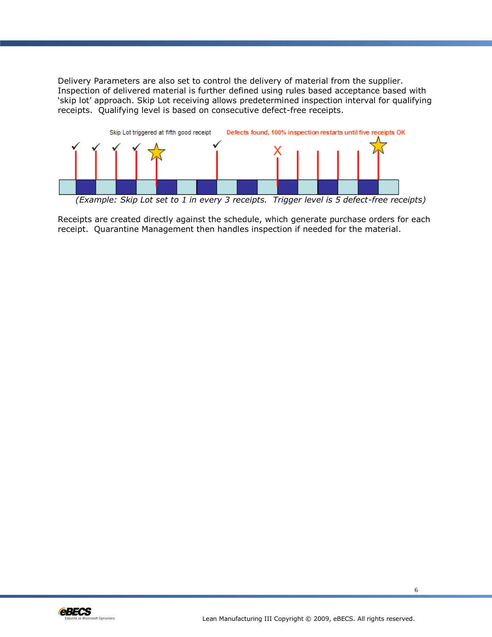Delivery Parameters are also set to control the delivery of material from the supplier. Inspection of delivered material is further defined using rules based acceptance based with 'skip lot' approach. Skip Lot receiving allows predetermined inspection interval for qualifying receipts. Qualifying level is based on consecutive defect-free receipts.



*(Example: Skip Lot set to 1 in every 3 receipts. Trigger level is 5 defect-free receipts)*

Receipts are created directly against the schedule, which generate purchase orders for each receipt. Quarantine Management then handles inspection if needed for the material.

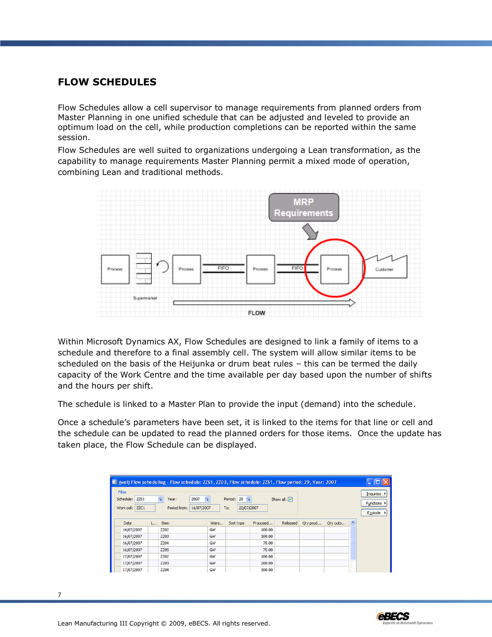#### <span id="page-6-0"></span>**FLOW SCHEDULES**

Flow Schedules allow a cell supervisor to manage requirements from planned orders from Master Planning in one unified schedule that can be adjusted and leveled to provide an optimum load on the cell, while production completions can be reported within the same session.

Flow Schedules are well suited to organizations undergoing a Lean transformation, as the capability to manage requirements Master Planning permit a mixed mode of operation, combining Lean and traditional methods.



Within Microsoft Dynamics AX, Flow Schedules are designed to link a family of items to a schedule and therefore to a final assembly cell. The system will allow similar items to be scheduled on the basis of the Heijunka or drum beat rules – this can be termed the daily capacity of the Work Centre and the time available per day based upon the number of shifts and the hours per shift.

The schedule is linked to a Master Plan to provide the input (demand) into the schedule.

Once a schedule's parameters have been set, it is linked to the items for that line or cell and the schedule can be updated to read the planned orders for those items. Once the update has taken place, the Flow Schedule can be displayed.

| EE (wel) Flow scheduling - Flow schedule: ZZS1, ZZO3, Flow schedule: ZZS1, Flow period: 29, Year: 2007<br>۰                                                                                                                         |          |             |      |           |          |  |  |                              |  |  |  |  |
|-------------------------------------------------------------------------------------------------------------------------------------------------------------------------------------------------------------------------------------|----------|-------------|------|-----------|----------|--|--|------------------------------|--|--|--|--|
| Filter<br>Inquiries  <br>Schedule: ZZS1<br>Period: $29$ $\downarrow$<br>2007<br>$\Omega$<br>Show all: $\boxed{\mathbf{v}}$<br>Year:<br>Functions ><br>16/07/2007<br>Work cell: ZZC1<br>22/07/2007<br>Period from:<br>To:<br>Explode |          |             |      |           |          |  |  |                              |  |  |  |  |
| Date                                                                                                                                                                                                                                | $L$ Item |             | Ware | Sort type | Proposed |  |  | Released Qty prod Qty outs ^ |  |  |  |  |
| 16/07/2007                                                                                                                                                                                                                          |          | <b>ZZ02</b> | GW   |           | 100.00   |  |  |                              |  |  |  |  |
| 16/07/2007                                                                                                                                                                                                                          |          | <b>ZZ03</b> | GW   |           | 100.00   |  |  |                              |  |  |  |  |
| 16/07/2007                                                                                                                                                                                                                          |          | <b>ZZ04</b> | GW   |           | 75.00    |  |  |                              |  |  |  |  |
| 16/07/2007                                                                                                                                                                                                                          |          | <b>ZZ05</b> | GW   |           | 75.00    |  |  |                              |  |  |  |  |
| 17/07/2007                                                                                                                                                                                                                          |          | ZZ02        | GW   |           | 100.00   |  |  |                              |  |  |  |  |
| 17/07/2007                                                                                                                                                                                                                          |          | <b>ZZ03</b> | GW   |           | 200.00   |  |  |                              |  |  |  |  |
| 17/07/2007                                                                                                                                                                                                                          |          | <b>ZZ04</b> | GW   |           | 100.00   |  |  |                              |  |  |  |  |

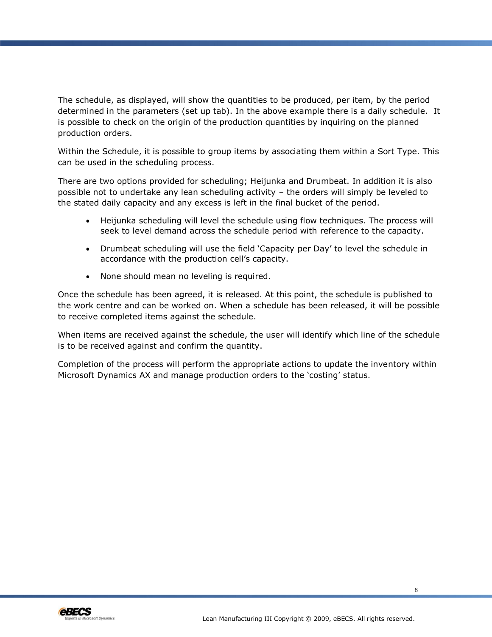The schedule, as displayed, will show the quantities to be produced, per item, by the period determined in the parameters (set up tab). In the above example there is a daily schedule. It is possible to check on the origin of the production quantities by inquiring on the planned production orders.

Within the Schedule, it is possible to group items by associating them within a Sort Type. This can be used in the scheduling process.

There are two options provided for scheduling; Heijunka and Drumbeat. In addition it is also possible not to undertake any lean scheduling activity – the orders will simply be leveled to the stated daily capacity and any excess is left in the final bucket of the period.

- Heijunka scheduling will level the schedule using flow techniques. The process will seek to level demand across the schedule period with reference to the capacity.
- Drumbeat scheduling will use the field 'Capacity per Day' to level the schedule in accordance with the production cell's capacity.
- None should mean no leveling is required.

Once the schedule has been agreed, it is released. At this point, the schedule is published to the work centre and can be worked on. When a schedule has been released, it will be possible to receive completed items against the schedule.

When items are received against the schedule, the user will identify which line of the schedule is to be received against and confirm the quantity.

Completion of the process will perform the appropriate actions to update the inventory within Microsoft Dynamics AX and manage production orders to the 'costing' status.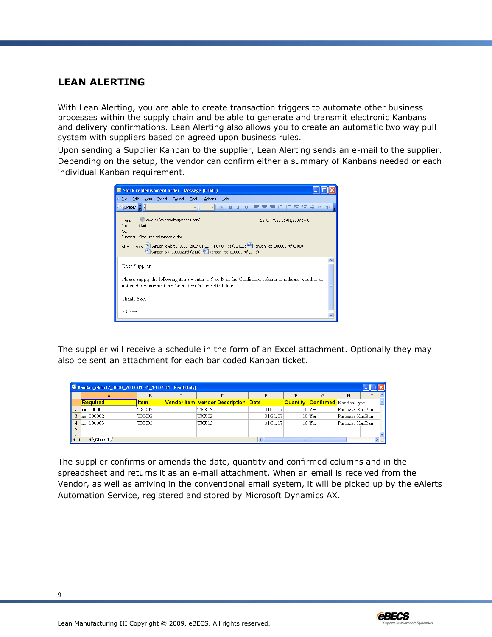#### <span id="page-8-0"></span>**LEAN ALERTING**

With Lean Alerting, you are able to create transaction triggers to automate other business processes within the supply chain and be able to generate and transmit electronic Kanbans and delivery confirmations. Lean Alerting also allows you to create an automatic two way pull system with suppliers based on agreed upon business rules.

Upon sending a Supplier Kanban to the supplier, Lean Alerting sends an e-mail to the supplier. Depending on the setup, the vendor can confirm either a summary of Kanbans needed or each individual Kanban requirement.

| Stock replenishment order - Message (HTML)                                                                                                                         |  |  |  |  |  |  |  |  |  |  |
|--------------------------------------------------------------------------------------------------------------------------------------------------------------------|--|--|--|--|--|--|--|--|--|--|
| E File<br>Edit<br>Insert<br>View<br>Format Tools<br>Actions<br>Help                                                                                                |  |  |  |  |  |  |  |  |  |  |
| ▼   A   B Z U   国 喜 理 狂 狂 狂 健 妊 妊 M 1 N<br>$\mathbb{E}$ Reply $\mathbb{E}$ :                                                                                       |  |  |  |  |  |  |  |  |  |  |
| eAlerts [axaptadev@ebecs.com]<br>Sent: Wed 31/01/2007 14:07<br>From:<br>To:<br>Martin<br>Cc:                                                                       |  |  |  |  |  |  |  |  |  |  |
| Stock replenishment order<br>Subject:                                                                                                                              |  |  |  |  |  |  |  |  |  |  |
| Attachments: 图 KanBan_eAlert2_3000_2007-01-31_14 07 04.xls (15 KB); 四 KanBan_xx_000003.rtf (2 KB);<br>KanBan xx 000002.rtf (2 KB); [2] KanBan xx 000001.rtf (2 KB) |  |  |  |  |  |  |  |  |  |  |
| Dear Supplier,                                                                                                                                                     |  |  |  |  |  |  |  |  |  |  |
| Please supply the following items - enter a $Y$ or $N$ in the Confirmed column to indicate whether or<br>not each requirement can be met on the specified date.    |  |  |  |  |  |  |  |  |  |  |
| Thank You,                                                                                                                                                         |  |  |  |  |  |  |  |  |  |  |
| eAlerts                                                                                                                                                            |  |  |  |  |  |  |  |  |  |  |

The supplier will receive a schedule in the form of an Excel attachment. Optionally they may also be sent an attachment for each bar coded Kanban ticket.

| NanBan_eAlert2_3000_2007-01-31_14 07 04 [Read-Only] |           |             |  |                                            |          |  |                                       |                 |  |  |  |
|-----------------------------------------------------|-----------|-------------|--|--------------------------------------------|----------|--|---------------------------------------|-----------------|--|--|--|
|                                                     |           | G           |  |                                            |          |  | Η                                     |                 |  |  |  |
|                                                     | Required  | <b>Item</b> |  | <b>Vendor Item Vendor Description Date</b> |          |  | <b>Quantity Confirmed</b> KanBan Type |                 |  |  |  |
|                                                     | xx 000001 | TXX02       |  | TXX02                                      | 01/31/07 |  | $10$ Yes                              | Purchase KanBan |  |  |  |
|                                                     | xx 000002 | TXX02       |  | TXX02                                      | 01/31/07 |  | $10$ Yes                              | Purchase KanBan |  |  |  |
|                                                     | xx 000003 | TXX02       |  | TXX02                                      | 01/31/07 |  | $10$ Yes                              | Purchase KanBan |  |  |  |
|                                                     |           |             |  |                                            |          |  |                                       |                 |  |  |  |
|                                                     | .Sheet1 / |             |  |                                            |          |  |                                       |                 |  |  |  |

The supplier confirms or amends the date, quantity and confirmed columns and in the spreadsheet and returns it as an e-mail attachment. When an email is received from the Vendor, as well as arriving in the conventional email system, it will be picked up by the eAlerts Automation Service, registered and stored by Microsoft Dynamics AX.

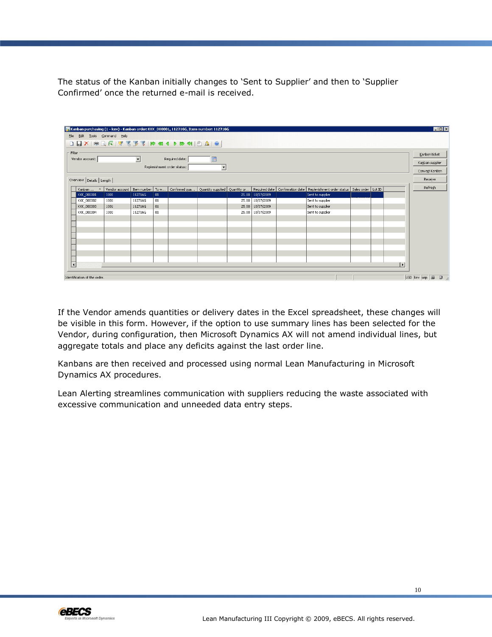The status of the Kanban initially changes to 'Sent to Supplier' and then to 'Supplier Confirmed' once the returned e-mail is received.

|                              |                                                                |      |         |    |  | 厚Mkanban purchasing (1 - kev) - Kanban order: KKK_000001, 112716G, Item number: 112716G |  |                  |  |                                                                                                                                                                                         |  |  |                 | $\Box$ D $\times$ |
|------------------------------|----------------------------------------------------------------|------|---------|----|--|-----------------------------------------------------------------------------------------|--|------------------|--|-----------------------------------------------------------------------------------------------------------------------------------------------------------------------------------------|--|--|-----------------|-------------------|
| File Edit Tools Command Help |                                                                |      |         |    |  |                                                                                         |  |                  |  |                                                                                                                                                                                         |  |  |                 |                   |
|                              |                                                                |      |         |    |  |                                                                                         |  |                  |  |                                                                                                                                                                                         |  |  |                 |                   |
|                              | Filter                                                         |      |         |    |  |                                                                                         |  |                  |  |                                                                                                                                                                                         |  |  |                 | Kanban ticket     |
|                              | $\blacktriangledown$<br>E<br>Vendor account:<br>Required date: |      |         |    |  |                                                                                         |  |                  |  |                                                                                                                                                                                         |  |  | Kanban supplier |                   |
|                              | Replenishment order status:<br>$\vert \cdot \vert$             |      |         |    |  |                                                                                         |  |                  |  |                                                                                                                                                                                         |  |  |                 |                   |
|                              |                                                                |      |         |    |  |                                                                                         |  |                  |  |                                                                                                                                                                                         |  |  |                 | Convert KanBan    |
|                              | Overview Details   Length                                      |      |         |    |  |                                                                                         |  |                  |  |                                                                                                                                                                                         |  |  |                 | Receive           |
|                              |                                                                |      |         |    |  |                                                                                         |  |                  |  | Kanban  - Vendor account   Item number   To w   Confirmed qua   Quantity supplied   Quantity or   Required date   Confirmation date   Replenishment order status   Sales order   Lot ID |  |  |                 | Refresh           |
|                              | <b>KKK 000001</b>                                              | 1001 | 112716G | 01 |  |                                                                                         |  | 25.00 10/07/2009 |  | Sent to supplier                                                                                                                                                                        |  |  |                 |                   |
|                              | KKK_000002                                                     | 1001 | 112716G | 01 |  |                                                                                         |  | 25.00 10/07/2009 |  | Sent to supplier                                                                                                                                                                        |  |  |                 |                   |
|                              | KKK_000003                                                     | 1001 | 112716G | 01 |  |                                                                                         |  | 25.00 10/07/2009 |  | Sent to supplier                                                                                                                                                                        |  |  |                 |                   |
|                              | KKK_000004                                                     | 1001 | 112716G | 01 |  |                                                                                         |  | 25.00 10/07/2009 |  | Sent to supplier                                                                                                                                                                        |  |  |                 |                   |
|                              |                                                                |      |         |    |  |                                                                                         |  |                  |  |                                                                                                                                                                                         |  |  |                 |                   |
|                              |                                                                |      |         |    |  |                                                                                         |  |                  |  |                                                                                                                                                                                         |  |  |                 |                   |
|                              |                                                                |      |         |    |  |                                                                                         |  |                  |  |                                                                                                                                                                                         |  |  |                 |                   |
|                              |                                                                |      |         |    |  |                                                                                         |  |                  |  |                                                                                                                                                                                         |  |  |                 |                   |
|                              |                                                                |      |         |    |  |                                                                                         |  |                  |  |                                                                                                                                                                                         |  |  |                 |                   |
|                              |                                                                |      |         |    |  |                                                                                         |  |                  |  |                                                                                                                                                                                         |  |  |                 |                   |
|                              |                                                                |      |         |    |  |                                                                                         |  |                  |  |                                                                                                                                                                                         |  |  |                 |                   |
|                              |                                                                |      |         |    |  |                                                                                         |  |                  |  |                                                                                                                                                                                         |  |  |                 |                   |
| $\overline{\mathbf{K}}$      |                                                                |      |         |    |  |                                                                                         |  |                  |  |                                                                                                                                                                                         |  |  | l۶              |                   |
| Identification of the order. |                                                                |      |         |    |  |                                                                                         |  |                  |  | USD kev usp 9 3 4                                                                                                                                                                       |  |  |                 |                   |

If the Vendor amends quantities or delivery dates in the Excel spreadsheet, these changes will be visible in this form. However, if the option to use summary lines has been selected for the Vendor, during configuration, then Microsoft Dynamics AX will not amend individual lines, but aggregate totals and place any deficits against the last order line.

Kanbans are then received and processed using normal Lean Manufacturing in Microsoft Dynamics AX procedures.

Lean Alerting streamlines communication with suppliers reducing the waste associated with excessive communication and unneeded data entry steps.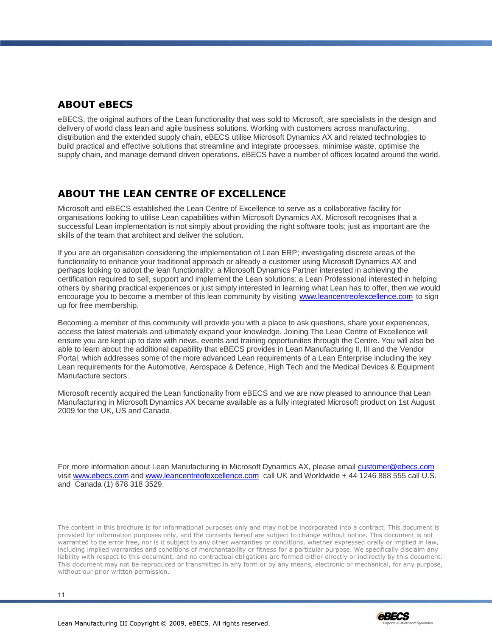## <span id="page-10-0"></span>**ABOUT eBECS**

eBECS, the original authors of the Lean functionality that was sold to Microsoft, are specialists in the design and delivery of world class lean and agile business solutions. Working with customers across manufacturing, distribution and the extended supply chain, eBECS utilise Microsoft Dynamics AX and related technologies to build practical and effective solutions that streamline and integrate processes, minimise waste, optimise the supply chain, and manage demand driven operations. eBECS have a number of offices located around the world.

### <span id="page-10-1"></span>**ABOUT THE LEAN CENTRE OF EXCELLENCE**

Microsoft and eBECS established the Lean Centre of Excellence to serve as a collaborative facility for organisations looking to utilise Lean capabilities within Microsoft Dynamics AX. Microsoft recognises that a successful Lean implementation is not simply about providing the right software tools; just as important are the skills of the team that architect and deliver the solution.

If you are an organisation considering the implementation of Lean ERP; investigating discrete areas of the functionality to enhance your traditional approach or already a customer using Microsoft Dynamics AX and perhaps looking to adopt the lean functionality; a Microsoft Dynamics Partner interested in achieving the certification required to sell, support and implement the Lean solutions; a Lean Professional interested in helping others by sharing practical experiences or just simply interested in learning what Lean has to offer, then we would encourage you to become a member of this lean community by visiting [www.leancentreofexcellence.com](http://www.leancentreofexcellence.com/) to sign up for free membership.

Becoming a member of this community will provide you with a place to ask questions, share your experiences, access the latest materials and ultimately expand your knowledge. Joining The Lean Centre of Excellence will ensure you are kept up to date with news, events and training opportunities through the Centre. You will also be able to learn about the additional capability that eBECS provides in Lean Manufacturing II, III and the Vendor Portal, which addresses some of the more advanced Lean requirements of a Lean Enterprise including the key Lean requirements for the Automotive, Aerospace & Defence, High Tech and the Medical Devices & Equipment Manufacture sectors.

Microsoft recently acquired the Lean functionality from eBECS and we are now pleased to announce that Lean Manufacturing in Microsoft Dynamics AX became available as a fully integrated Microsoft product on 1st August 2009 for the UK, US and Canada.

For more information about Lean Manufacturing in Microsoft Dynamics AX, please email [customer@ebecs.com](mailto:customer@ebecs.com) visit [www.ebecs.com](http://www.ebecs.com/) and [www.leancentreofexcellence.com](http://www.leancentreofexcellence.com/) call UK and Worldwide + 44 1246 888 555 call U.S. and Canada (1) 678 318 3529.

The content in this brochure is for informational purposes only and may not be incorporated into a contract. This document is provided for information purposes only, and the contents hereof are subject to change without notice. This document is not warranted to be error free, nor is it subject to any other warranties or conditions, whether expressed orally or implied in law, including implied warranties and conditions of merchantability or fitness for a particular purpose. We specifically disclaim any liability with respect to this document, and no contractual obligations are formed either directly or indirectly by this document. This document may not be reproduced or transmitted in any form or by any means, electronic or mechanical, for any purpose, without our prior written permission.